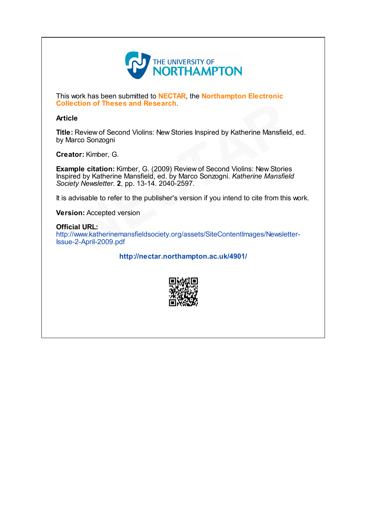

This work has been submitted to **NECTAR**, the **Northampton Electronic** Collection of Theses and Research.

## Article

Title: Review of Second Violins: New Stories Inspired by Katherine Mansfield, ed. by Marco Sonzogni

Creator: Kimber, G.

Example citation: Kimber, G. (2009) Review of Second Violins: New Stories Inspired by Katherine Mansfield, ed. by Marco Sonzogni. Katherine Mansfield Society Newsletter. 2, pp. 13-14. 2040-2597. **Example 2018**<br>
Econd Violins: New Stories Inspired by Katherine Mansfield,<br>
ni<br>
G.<br> **EXECTAR CONTEX CONTEX CONTEX CONTEX CONTEX CONTEX CONTEX CONTEX CONTEX CONTEX CONTEX CONTEX CONTEX CONTEX CONTEX CONTEX<br>
External Conten** 

It is advisable to refer to the publisher's version if you intend to cite from this work.

**Version: Accepted version** 

Official URL: [http://www.katherinemansfieldsociety.org/assets/SiteContentImages/Newsletter-](http://www.katherinemansfieldsociety.org/assets/SiteContentImages/Newsletter-Issue-2-April-2009.pdf)Issue-2-April-2009.pdf wisable to refer<br>**on:** Accepted ve<br>**al URL:**<br>2-April-2009.pd

<http://nectar.northampton.ac.uk/4901/>

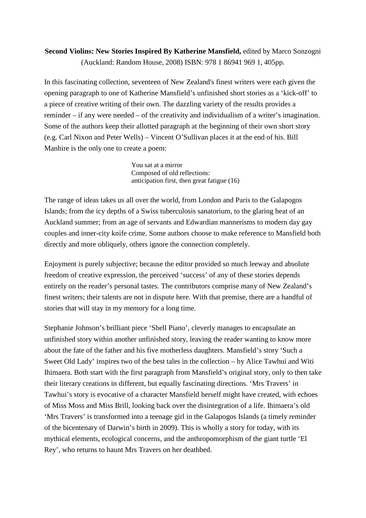## **Second Violins: New Stories Inspired By Katherine Mansfield,** edited by Marco Sonzogni (Auckland: Random House, 2008) ISBN: 978 1 86941 969 1, 405pp.

In this fascinating collection, seventeen of New Zealand's finest writers were each given the opening paragraph to one of Katherine Mansfield's unfinished short stories as a 'kick-off' to a piece of creative writing of their own. The dazzling variety of the results provides a reminder – if any were needed – of the creativity and individualism of a writer's imagination. Some of the authors keep their allotted paragraph at the beginning of their own short story (e.g. Carl Nixon and Peter Wells) – Vincent O'Sullivan places it at the end of his. Bill Manhire is the only one to create a poem:

> You sat at a mirror Composed of old reflections: anticipation first, then great fatigue (16)

The range of ideas takes us all over the world, from London and Paris to the Galapogos Islands; from the icy depths of a Swiss tuberculosis sanatorium, to the glaring heat of an Auckland summer; from an age of servants and Edwardian mannerisms to modern day gay couples and inner-city knife crime. Some authors choose to make reference to Mansfield both directly and more obliquely, others ignore the connection completely.

Enjoyment is purely subjective; because the editor provided so much leeway and absolute freedom of creative expression, the perceived 'success' of any of these stories depends entirely on the reader's personal tastes. The contributors comprise many of New Zealand's finest writers; their talents are not in dispute here. With that premise, there are a handful of stories that will stay in my memory for a long time.

Stephanie Johnson's brilliant piece 'Shell Piano', cleverly manages to encapsulate an unfinished story within another unfinished story, leaving the reader wanting to know more about the fate of the father and his five motherless daughters. Mansfield's story 'Such a Sweet Old Lady' inspires two of the best tales in the collection – by Alice Tawhui and Witi Ihimaera. Both start with the first paragraph from Mansfield's original story, only to then take their literary creations in different, but equally fascinating directions. 'Mrs Travers' in Tawhui's story is evocative of a character Mansfield herself might have created, with echoes of Miss Moss and Miss Brill, looking back over the disintegration of a life. Ihimaera's old 'Mrs Travers' is transformed into a teenage girl in the Galapogos Islands (a timely reminder of the bicentenary of Darwin's birth in 2009). This is wholly a story for today, with its mythical elements, ecological concerns, and the anthropomorphism of the giant turtle 'El Rey', who returns to haunt Mrs Travers on her deathbed.